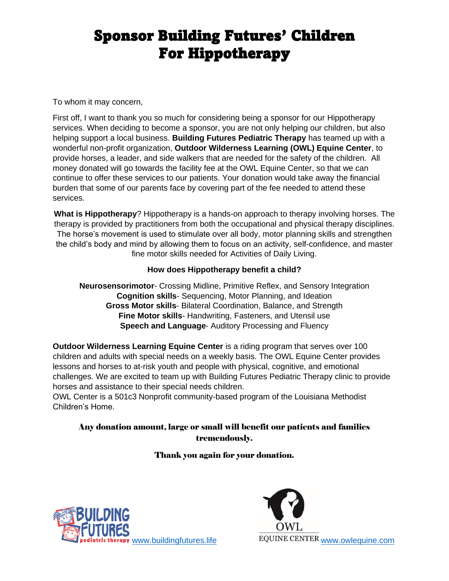# Sponsor Building Futures' Children For Hippotherapy

To whom it may concern,

First off, I want to thank you so much for considering being a sponsor for our Hippotherapy services. When deciding to become a sponsor, you are not only helping our children, but also helping support a local business. **Building Futures Pediatric Therapy** has teamed up with a wonderful non-profit organization, **Outdoor Wilderness Learning (OWL) Equine Center**, to provide horses, a leader, and side walkers that are needed for the safety of the children. All money donated will go towards the facility fee at the OWL Equine Center, so that we can continue to offer these services to our patients. Your donation would take away the financial burden that some of our parents face by covering part of the fee needed to attend these services.

**What is Hippotherapy**? Hippotherapy is a hands-on approach to therapy involving horses. The therapy is provided by practitioners from both the occupational and physical therapy disciplines. The horse's movement is used to stimulate over all body, motor planning skills and strengthen the child's body and mind by allowing them to focus on an activity, self-confidence, and master fine motor skills needed for Activities of Daily Living.

#### **How does Hippotherapy benefit a child?**

**Neurosensorimotor**- Crossing Midline, Primitive Reflex, and Sensory Integration **Cognition skills**- Sequencing, Motor Planning, and Ideation **Gross Motor skills**- Bilateral Coordination, Balance, and Strength **Fine Motor skills**- Handwriting, Fasteners, and Utensil use **Speech and Language**- Auditory Processing and Fluency

**Outdoor Wilderness Learning Equine Center** is a riding program that serves over 100 children and adults with special needs on a weekly basis. The OWL Equine Center provides lessons and horses to at-risk youth and people with physical, cognitive, and emotional challenges. We are excited to team up with Building Futures Pediatric Therapy clinic to provide horses and assistance to their special needs children.

OWL Center is a 501c3 Nonprofit community-based program of the Louisiana Methodist Children's Home.

#### Any donation amount, large or small will benefit our patients and families tremendously.

Thank you again for your donation.



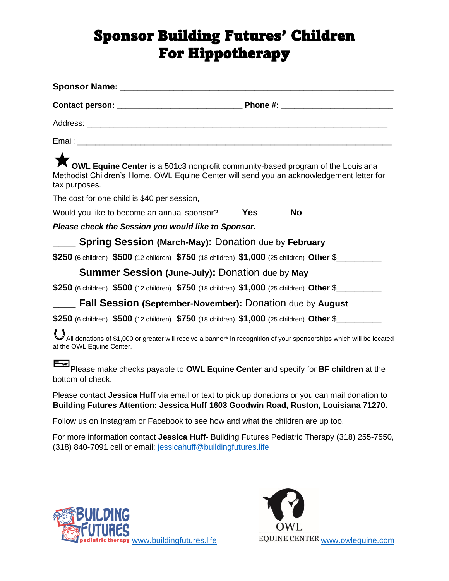# Sponsor Building Futures' Children For Hippotherapy

| <b>NowL Equine Center</b> is a 501c3 nonprofit community-based program of the Louisiana<br>Methodist Children's Home. OWL Equine Center will send you an acknowledgement letter for<br>tax purposes. |            |            |
|------------------------------------------------------------------------------------------------------------------------------------------------------------------------------------------------------|------------|------------|
| The cost for one child is \$40 per session,                                                                                                                                                          |            |            |
| Would you like to become an annual sponsor?                                                                                                                                                          | <b>Yes</b> | No         |
| Please check the Session you would like to Sponsor.                                                                                                                                                  |            |            |
| ___ Spring Session (March-May): Donation due by February                                                                                                                                             |            |            |
| \$250 (6 children) \$500 (12 children) \$750 (18 children) \$1,000 (25 children) Other \$                                                                                                            |            |            |
| <b>Summer Session (June-July): Donation due by May</b>                                                                                                                                               |            |            |
| \$250 (6 children) $$500$ (12 children) \$750 (18 children) \$1,000 (25 children) Other \$                                                                                                           |            |            |
| <b>Fall Session (September-November): Donation due by August</b>                                                                                                                                     |            |            |
| \$250 (6 children) \$500 (12 children) \$750 (18 children) \$1,000 (25 children) Other \$                                                                                                            |            |            |
| All donations of \$1,000 or greater will receive a banner* in recognition of your sponsorships which will be located<br>at the OWL Equine Center.                                                    |            |            |
| ⊟∞⊐<br>Please make checks payable to OWL Equine Center and specify for BF children at the<br>bottom of check.                                                                                        |            |            |
| Please contact Jessica Huff via email or text to pick up donations or you can mail donation to<br>Building Futures Attention: Jessica Huff 1603 Goodwin Road, Ruston, Louisiana 71270.               |            |            |
| Follow us on Instagram or Facebook to see how and what the children are up too.                                                                                                                      |            |            |
| For more information contact Jessica Huff- Building Futures Pediatric Therapy (318) 255-7550,<br>(318) 840-7091 cell or email: jessicahuff@buildingfutures.life                                      |            |            |
|                                                                                                                                                                                                      |            |            |
|                                                                                                                                                                                                      |            | <b>TAN</b> |